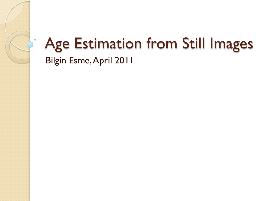### Age Estimation from Still Images Bilgin Esme, April 2011

 $\circ$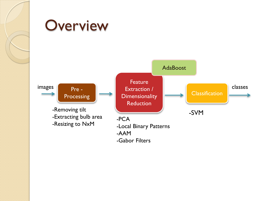

Pre -

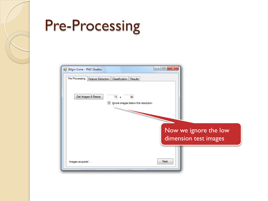## Pre-Processing

| <b>Bilgin Esme - PhD Studies</b> | $\mathbf{x}$<br>▣<br>$\Box$                                                                                    |
|----------------------------------|----------------------------------------------------------------------------------------------------------------|
| Pre-Processing                   | Feature Extraction<br>Classification Results                                                                   |
|                                  | Get Images & Resize<br>73<br>90<br>$\mathbf{x}$<br>Ignore images below this resolution<br>$\blacktriangledown$ |
|                                  | Now we ignore the low<br>dimension test images                                                                 |
| Images acquired                  | Next                                                                                                           |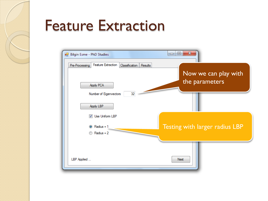### Feature Extraction

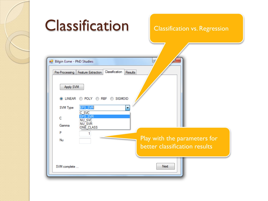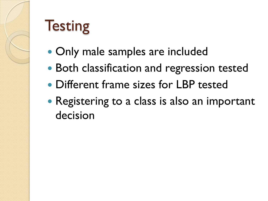# **Testing**

- Only male samples are included
- Both classification and regression tested
- Different frame sizes for LBP tested
- Registering to a class is also an important decision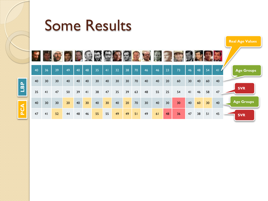

## Some Results



**Real Age Values**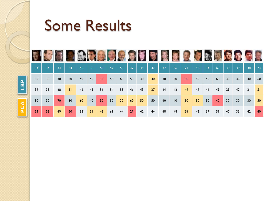

## Some Results

| 34 | 34 | 34              | 34              | 46 | 38 | 60 | 57 | 53              | 47 | 35              | 47 | 37              | 36 | 71 | 50              | 34              | 69 | 30              | 30              | 30 | 74 |
|----|----|-----------------|-----------------|----|----|----|----|-----------------|----|-----------------|----|-----------------|----|----|-----------------|-----------------|----|-----------------|-----------------|----|----|
| 30 | 30 | 30 <sup>°</sup> | 30 <sup>°</sup> | 40 | 40 | 30 | 50 | 60              | 50 | 30 <sup>°</sup> | 30 | 30 <sup>°</sup> | 30 | 30 | 50              | 40              | 60 | 30 <sup>°</sup> | 30 <sup>°</sup> | 30 | 60 |
| 39 | 33 | 48              | 51              | 42 | 45 | 56 | 54 | 55              | 46 | 43              | 37 | 44              | 42 | 49 | 49              | 41              | 49 | 29              | 42              | 31 | 51 |
| 30 | 30 | 70              | 30              | 60 | 40 | 30 | 50 | 30 <sub>2</sub> | 60 | 50              | 50 | 40              | 40 | 50 | 30 <sub>o</sub> | 30 <sup>°</sup> | 40 | 30 <sup>°</sup> | 30 <sup>°</sup> | 30 | 50 |
| 53 | 53 | 49              | 50              | 38 | 51 | 46 | 61 | 44              | 27 | 42              | 44 | 48              | 48 | 54 | 42              | 39              | 59 | 40              | 33              | 42 | 40 |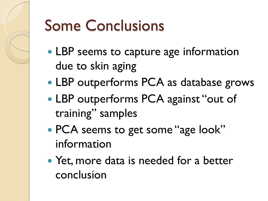

# Some Conclusions

- LBP seems to capture age information due to skin aging
- LBP outperforms PCA as database grows
- LBP outperforms PCA against "out of training" samples
- PCA seems to get some "age look" information
- Yet, more data is needed for a better conclusion